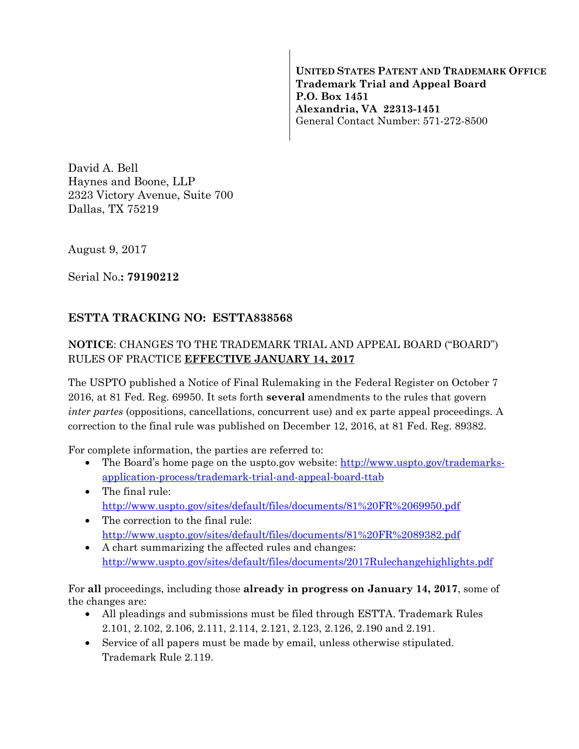**UNITED STATES PATENT AND TRADEMARK OFFICE Trademark Trial and Appeal Board P.O. Box 1451 Alexandria, VA 22313-1451**  General Contact Number: 571-272-8500

David A. Bell Haynes and Boone, LLP 2323 Victory Avenue, Suite 700 Dallas, TX 75219

August 9, 2017

Serial No.**: 79190212** 

## **ESTTA TRACKING NO: ESTTA838568**

## **NOTICE**: CHANGES TO THE TRADEMARK TRIAL AND APPEAL BOARD ("BOARD") RULES OF PRACTICE **EFFECTIVE JANUARY 14, 2017**

The USPTO published a Notice of Final Rulemaking in the Federal Register on October 7 2016, at 81 Fed. Reg. 69950. It sets forth **several** amendments to the rules that govern *inter partes* (oppositions, cancellations, concurrent use) and ex parte appeal proceedings. A correction to the final rule was published on December 12, 2016, at 81 Fed. Reg. 89382.

For complete information, the parties are referred to:

- The Board's home page on the uspto.gov website: http://www.uspto.gov/trademarksapplication-process/trademark-trial-and-appeal-board-ttab
- The final rule: http://www.uspto.gov/sites/default/files/documents/81%20FR%2069950.pdf
- The correction to the final rule: http://www.uspto.gov/sites/default/files/documents/81%20FR%2089382.pdf
- A chart summarizing the affected rules and changes: http://www.uspto.gov/sites/default/files/documents/2017Rulechangehighlights.pdf

For **all** proceedings, including those **already in progress on January 14, 2017**, some of the changes are:

- All pleadings and submissions must be filed through ESTTA. Trademark Rules 2.101, 2.102, 2.106, 2.111, 2.114, 2.121, 2.123, 2.126, 2.190 and 2.191.
- Service of all papers must be made by email, unless otherwise stipulated. Trademark Rule 2.119.